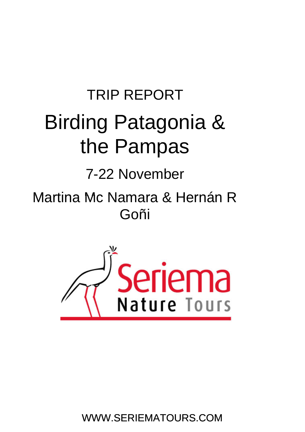## TRIP REPORT Birding Patagonia & the Pampas

### 7-22 November

# Martina Mc Namara & Hernán R<br>Goñi



WWW.SERIEMATOURS.COM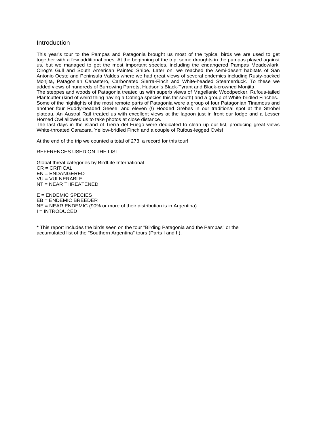#### Introduction

This year's tour to the Pampas and Patagonia brought us most of the typical birds we are used to get together with a few additional ones. At the beginning of the trip, some droughts in the pampas played against us, but we managed to get the most important species, including the endangered Pampas Meadowlark, Olrog's Gull and South American Painted Snipe. Later on, we reached the semi-desert habitats of San Antonio Oeste and Peninsula Valdes where we had great views of several endemics including Rusty-backed Monjita, Patagonian Canastero, Carbonated Sierra-Finch and White-headed Steamerduck. To these we added views of hundreds of Burrowing Parrots, Hudson's Black-Tyrant and Black-crowned Monjita.

The steppes and woods of Patagonia treated us with superb views of Magellanic Woodpecker, Rufous-tailed Plantcutter (kind of weird thing having a Cotinga species this far south) and a group of White-bridled Finches. Some of the highlights of the most remote parts of Patagonia were a group of four Patagonian Tinamous and another four Ruddy-headed Geese, and eleven (!) Hooded Grebes in our traditional spot at the Strobel plateau. An Austral Rail treated us with excellent views at the lagoon just in front our lodge and a Lesser Horned Owl allowed us to take photos at close distance.

The last days in the island of Tierra del Fuego were dedicated to clean up our list, producing great views White-throated Caracara, Yellow-bridled Finch and a couple of Rufous-legged Owls!

At the end of the trip we counted a total of 273, a record for this tour!

REFERENCES USED ON THE LIST

Global threat categories by BirdLife International CR = CRITICAL EN = ENDANGERED VU = VULNERABLE NT = NEAR THREATENED

 $E =$  ENDEMIC SPECIES EB = ENDEMIC BREEDER NE = NEAR ENDEMIC (90% or more of their distribution is in Argentina) I = INTRODUCED

\* This report includes the birds seen on the tour "Birding Patagonia and the Pampas" or the accumulated list of the "Southern Argentina" tours (Parts I and II).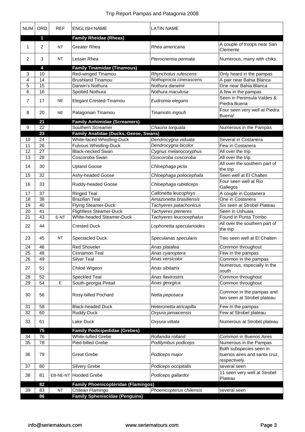| <b>NUM</b> | ORD            | <b>REF</b> | <b>ENGLISH NAME</b>                        | <b>LATIN NAME</b>         |                                                                          |
|------------|----------------|------------|--------------------------------------------|---------------------------|--------------------------------------------------------------------------|
|            | 1              |            | <b>Family Rheidae (Rheas)</b>              |                           |                                                                          |
| 1          | $\overline{2}$ | <b>NT</b>  | <b>Greater Rhea</b>                        | Rhea americana            | A couple of troops near San<br>Clemente                                  |
| 2          | 3              | <b>NT</b>  | <b>Lesser Rhea</b>                         | Pterocnemia pennata       | Numerous, many with chiks.                                               |
|            | 4              |            | <b>Family Tinamidae (Tinamous)</b>         |                           |                                                                          |
| 3          | 10             |            | Red-winged Tinamou                         | Rhynchotus rufescens      | Only heard in the pampas                                                 |
| 4          | 14             |            | <b>Brushland Tinamou</b>                   | Nothoprocta cinerascens   | A pair near Bahia Blanca                                                 |
| 5          | 15             |            | Darwin's Nothura                           | Nothura darwinii          | One near Bahia Blanca                                                    |
| 6          | 16             |            | Spotted Nothura                            | Nothura maculosa          | A few in the pampas                                                      |
| 7          | 17             | <b>NE</b>  | Elegant Crested-Tinamou                    | Eudromia elegans          | Seen in Peninsula Valdes &<br>Piedra Buena                               |
| 8          | 20             | <b>NE</b>  | Patagonian Tinamou                         | Tinamotis ingoufi         | Four seen very well at Piedra<br>Buena!                                  |
|            | 21             |            | <b>Family Anhimidae (Screamers)</b>        |                           |                                                                          |
| 9          | 22             |            | Southern Screamer                          | Chauna torquata           | Numerous in the Pampas                                                   |
|            | 23             |            | Family Anatidae (Ducks, Geese, Swans)      |                           |                                                                          |
| 10         | 24             |            | White-faced Whistling-Duck                 | Dendrocygna viduata       | Several in Costanera                                                     |
| 11         | 26             |            | Fulvous Whistling-Duck                     | Dendrocygna bicolor       | Few in Costanera                                                         |
| 12         | 27             |            | <b>Black-necked Swan</b>                   | Cygnus melanocoryphus     | All over the trip                                                        |
| 13         | 28             |            | Coscoroba Swan                             | Coscoroba coscoroba       | All over the trip                                                        |
| 14         | 30             |            | <b>Upland Goose</b>                        | Chloephaga picta          | All over the southern part of<br>the trip                                |
| 15         | 32             |            | Ashy-headed Goose                          | Chloephaga poliocephala   | Seen well at El Chalten                                                  |
| 16         | 33             |            | Ruddy-headed Goose                         | Chloephaga rubidiceps     | Four seen well at Rio<br>Gallegos                                        |
| 17         | 37             |            | <b>Ringed Teal</b>                         | Callonetta leucophrys     | A couple in Costanera                                                    |
| 18         | 38             |            | <b>Brazilian Teal</b>                      | Amazonetta brasiliensis   | One in Costanera                                                         |
| 19         | 40             |            | Flying Steamer-Duck                        | Tachyeres patachonicus    | Six seen at Strobel Plateau                                              |
| 20         | 41             |            | <b>Flightless Steamer-Duck</b>             | Tachyeres pteneres        | Seen in Ushuaia                                                          |
| 21         | 43             | E-NT       | White-headed Steamer-Duck                  | Tachyeres leucocephalus   | Found in Punta Tombo                                                     |
| 22         | 44             |            | <b>Crested Duck</b>                        | Lophonetta specularioides | All over the southern part of<br>the trip                                |
| 23         | 45             | <b>NT</b>  | <b>Spectacled Duck</b>                     | Speculanas specularis     | Two seen well at El Chalten                                              |
| 24         | 46             |            | <b>Red Shoveler</b>                        | Anas platalea             | Common throughout                                                        |
| 25         | 48             |            | Cinnamon Teal                              | Anas cyanoptera           | Few in the pampas                                                        |
| 26         | 49             |            | <b>Silver Teal</b>                         | Anas versicolor           | Common in the pampas                                                     |
| 27         | 51             |            | Chiloé Wigeon                              | Anas sibilatrix           | Numerous, especially in the<br>south                                     |
| 28         | 52             |            | Speckled Teal                              | Anas flavirostris         | Common throughout                                                        |
| 29         | 54             | E          | South-georgia Pintail                      | Anas georgica             | Common throughout                                                        |
| 30         | 56             |            | Rosy-billed Pochard                        | Netta peposaca            | Common in the pampas and<br>two seen at Strobel plateau                  |
| 31         | 58             |            | <b>Black-headed Duck</b>                   | Heteronetta atricapilla   | Few in the pampas                                                        |
| 32         | 60             |            | Ruddy-Duck                                 | Oxyura jamaicensis        | Few at Strobel plateau                                                   |
| 33         | 61             |            | Lake Duck                                  | Oxyura vittata            | Numerous at Strobel plateau                                              |
|            | 75             |            | <b>Family Podicipedidae (Grebes)</b>       |                           |                                                                          |
| 34         | 76             |            | <b>White-tufted Grebe</b>                  | Rollandia rolland         | Common in Buenos Aires                                                   |
| 35         | 78             |            | Pied-billed Grebe                          | Podilymbus podiceps       | Numerous in the Pampas                                                   |
| 36         | 79             |            | <b>Great Grebe</b>                         | Podiceps major            | Both subspecies seen in<br>buenos aires and santa cruz,<br>respectively. |
| 37         | 80             |            | <b>Silvery Grebe</b>                       | Podiceps occipitalis      | several seen                                                             |
| 38         | 81             |            | EB-NE-NT Hooded Grebe                      | Podiceps gallardoi        | 11 seen very well at Strobel<br>Plateau                                  |
|            | 82             |            | <b>Family Phoenicopteridae (Flamingos)</b> |                           |                                                                          |
| 39         | 83             | NT         | Chilean Flamingo                           | Phoenicopterus chilensis  | several seen                                                             |
|            | 86             |            | <b>Family Spheniscidae (Penguins)</b>      |                           |                                                                          |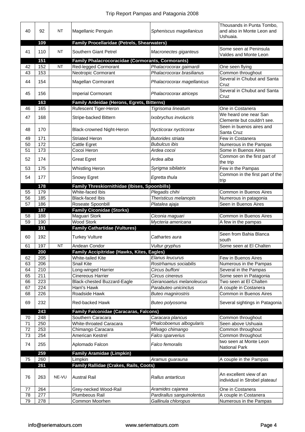| 40       | 92         | <b>NT</b> | Magellanic Penguin                                       | Spheniscus magellanicus                           | Thousands in Punta Tombo,<br>and also in Monte Leon and<br>Ushuaia. |
|----------|------------|-----------|----------------------------------------------------------|---------------------------------------------------|---------------------------------------------------------------------|
|          | 109        |           | <b>Family Procellaridae (Petrels, Shearwaters)</b>       |                                                   |                                                                     |
| 41       | 110        | <b>NT</b> | Southern Giant Petrel                                    | Macronectes giganteus                             | Some seen at Peninsula<br>Valdes and Monte Leon                     |
|          | 151        |           | <b>Family Phalacrocoracidae (Cormorants, Cormorants)</b> |                                                   |                                                                     |
| 42       | 152        | <b>NT</b> | Red-legged Cormorant                                     | Phalacrocorax gaimardi                            | One seen flying                                                     |
| 43       | 153        |           | Neotropic Cormorant                                      | Phalacrocorax brasilianus                         | Common throughout                                                   |
| 44       | 154        |           | Magellan Cormorant                                       | Phalacrocorax magellanicus                        | Several in Chubut and Santa<br>Cruz                                 |
| 45       | 156        |           | <b>Imperial Cormorant</b>                                | Phalacrocorax atriceps                            | Several in Chubut and Santa<br>Cruz                                 |
|          | 163        |           | Family Ardeidae (Herons, Egrets, Bitterns)               |                                                   |                                                                     |
| 46       | 165        |           | Rufescent Tiger-Heron                                    | Tigrisoma lineatum                                | One in Costanera                                                    |
| 47       | 168        |           | Stripe-backed Bittern                                    | Ixobrychus involucris                             | We heard one near San<br>Clemente but couldn't see.                 |
| 48       | 170        |           | Black-crowned Night-Heron                                | Nycticorax nycticorax                             | Seen in buenos aires and<br>Santa Cruz                              |
| 49       | 171        |           | <b>Striated Heron</b>                                    | <b>Butorides striata</b>                          | Few in Costanera                                                    |
| 50       | 172        |           | Cattle Egret                                             | <b>Bubulcus ibis</b>                              | Numerous in the Pampas                                              |
| 51       | 173        |           | Cocoi Heron                                              | Ardea cocoi                                       | Some in Buenos Aires                                                |
| 52       | 174        |           | <b>Great Egret</b>                                       | Ardea alba                                        | Common on the first part of<br>the trip                             |
| 53       | 175        |           | Whistling Heron                                          | Syrigma sibilatrix                                | Few in the Pampas                                                   |
|          |            |           |                                                          |                                                   | Common in the first part of the                                     |
| 54       | 177        |           | Snowy Egret                                              | Egretta thula                                     | trip                                                                |
|          | 178        |           | Family Threskiornithidae (Ibises, Spoonbills)            |                                                   |                                                                     |
| 55       | 179        |           | White-faced Ibis                                         | Plegadis chihi                                    | Common in Buenos Aires                                              |
| 56       | 185        |           | <b>Black-faced Ibis</b>                                  | Theristicus melanopis                             | Numerous in patagonia                                               |
| 57       | 186        |           | Roseate Spoonbill                                        | Platalea ajaja                                    | Seen in Buenos Aires                                                |
|          | 187        |           | <b>Family Ciconidae (Storks)</b>                         |                                                   |                                                                     |
| 58       | 188        |           | Maguari Stork                                            | Ciconia maguari                                   | Common in Buenos Aires                                              |
| 59       | 190        |           | <b>Wood Stork</b>                                        | Mycteria americana                                | A few in the pampas                                                 |
|          | 191        |           | <b>Family Cathartidae (Vultures)</b>                     |                                                   |                                                                     |
| 60       | 192        |           | <b>Turkey Vulture</b>                                    | Cathartes aura                                    | Seen from Bahia Blanca<br>south                                     |
| 61       | 197        | <b>NT</b> | Andean Condor                                            | Vultur gryphus                                    | Some seen at El Chalten                                             |
|          | 200        |           | Family Accipitridae (Hawks, Kites, Eagles)               |                                                   |                                                                     |
| 62       | 205        |           | <b>White-tailed Kite</b>                                 | Elanus leucurus                                   | Few in Buenos Aires                                                 |
| 63       | 206        |           | Snail Kite                                               | Rostrhamus sociabilis                             | Numerous in the Pampas                                              |
| 64       | 210        |           | Long-winged Harrier                                      | Circus buffoni                                    | Several in the Pampas                                               |
| 65       | 211        |           | Cinereous Harrier                                        | Circus cinereus                                   | Some seen in Patagonia                                              |
| 66       | 223        |           | <b>Black-chested Buzzard-Eagle</b>                       | Geranoaetus melanoleucus                          | Two seen at El Chalten                                              |
| 67       | 224        |           | Harri's Hawk                                             | Parabuteo unicinctus                              | A couple in Costanera                                               |
| 68       | 226        |           | Roadside Hawk                                            | <b>Buteo magnirostris</b>                         | Common in Buenos Aires                                              |
| 69       | 232        |           | Red-backed Hawk                                          | Buteo polyosoma                                   | Several sightings in Patagonia                                      |
|          | 243        |           | <b>Family Falconidae (Caracaras, Falcons)</b>            |                                                   |                                                                     |
| 70       | 248        |           | Southern Caracara                                        | Caracara plancus                                  | Common throughout                                                   |
| 71       | 250        |           | <b>White-throated Caracara</b>                           | Phalcoboenus albogularis                          | Seen above Ushuaia                                                  |
| 72       | 253        |           | Chimango Caracara                                        | Milvago chimango                                  | Common throughout                                                   |
| 73       | 254        |           | American Kestrel                                         | Falco sparverius                                  | Common throughout                                                   |
| 74       | 255        |           | Aplomado Falcon                                          | Falco femoralis                                   | two seen at Monte Leon<br>National Park                             |
|          | 259        |           | <b>Family Aramidae (Limpkin)</b>                         |                                                   |                                                                     |
| 75       | 260        |           | Limpkin                                                  | Aramus guarauna                                   | A couple in the Pampas                                              |
|          | 261        |           | Family Rallidae (Crakes, Rails, Coots)                   |                                                   |                                                                     |
|          |            |           |                                                          |                                                   |                                                                     |
| 76       | 263        | NE-VU     | <b>Austral Rail</b>                                      | Rallus antarticus                                 | An excellent view of an<br>individusl in Strobel plateau!           |
| 77       | 264        |           | Grey-necked Wood-Rail                                    | Aramides cajanea                                  | One in Costanera                                                    |
|          |            |           |                                                          |                                                   |                                                                     |
|          |            |           |                                                          |                                                   |                                                                     |
| 78<br>79 | 277<br>278 |           | Plumbeous Rail<br>Common Moorhen                         | Pardirallus sanguinolentus<br>Gallinula chloropus | A couple in Costanera<br>Numerous in the Pampas                     |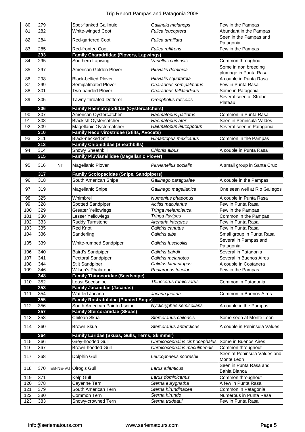| 80  | 279 |           | Spot-flanked Gallinule                           | Gallinula melanops             | Few in the Pampas                    |
|-----|-----|-----------|--------------------------------------------------|--------------------------------|--------------------------------------|
| 81  | 282 |           | White-winged Coot                                | Fulica leucoptera              | Abundant in the Pampas               |
|     |     |           |                                                  |                                | Seen in the Pampas and               |
| 82  | 284 |           | Red-gartered Coot                                | Fulica armillata               | Patagonia                            |
| 83  | 285 |           | <b>Red-fronted Coot</b>                          | Fulica rufifrons               | Few in the Pampas                    |
|     | 293 |           | <b>Family Charadriidae (Plovers, Lapwings)</b>   |                                |                                      |
| 84  | 295 |           | Southern Lapwing                                 | Vanellus chilensis             | Common throughout                    |
| 85  | 297 |           | American Golden Plover                           | Pluvialis dominica             | Some in non breeding                 |
|     |     |           |                                                  |                                | plumage in Punta Rasa                |
| 86  | 298 |           | <b>Black-bellied Plover</b>                      | Pluvialis squatarola           | A couple in Punta Rasa               |
| 87  | 299 |           | Semipalmated Plover                              | Charadrius semipalmatus        | Few in Punta Rasa                    |
| 88  | 301 |           | Two-banded Plover                                | Charadrius falklandicus        | Some in Patagonia                    |
| 89  | 305 |           | Tawny-throated Dotterel                          | Oreopholus ruficollis          | Several seen at Strobel<br>Plateau   |
|     | 306 |           | <b>Family Haematopodidae (Oystercatchers)</b>    |                                |                                      |
| 90  | 307 |           | American Oystercatcher                           | Haematopus palliatus           | Common in Punta Rasa                 |
| 91  | 308 |           | <b>Blackish Oystercatcher</b>                    | Haematopus ater                | Seen in Peninsula Valdes             |
| 92  | 309 |           | Magellanic Oystercatcher                         | Haematopus leucopodus          | Several seen in Patagonia            |
|     | 310 |           | Family Recurvirostridae (Stilts, Avocets)        |                                |                                      |
| 93  | 311 |           | <b>Black-necked Stilt</b>                        | Himantopus mexicanus           | Common in the Pampas                 |
|     | 313 |           | <b>Family Chionididae (Sheathbills)</b>          |                                |                                      |
| 94  | 314 |           | Snowy Sheathbill                                 | Chionis albus                  | A couple in Punta Rasa               |
|     | 315 |           | <b>Family Pluvianellidae (Magellanic Plover)</b> |                                |                                      |
| 95  | 316 | <b>NT</b> | Magellanic Plover                                | Pluvianellus socialis          | A small group in Santa Cruz          |
|     | 317 |           | <b>Family Scolopacidae (Snipe, Sandpipers)</b>   |                                |                                      |
| 96  | 318 |           | South American Snipe                             | Gallinago paraguaiae           | A couple in the Pampas               |
|     |     |           |                                                  |                                |                                      |
| 97  | 319 |           | Magellanic Snipe                                 | Gallinago magellanica          | One seen well at Rio Gallegos        |
| 98  | 325 |           | Whimbrel                                         | Numenius phaeopus              | A couple in Punta Rasa               |
| 99  | 328 |           | Spotted Sandpiper                                | Actitis macularius             | Few in Punta Rasa                    |
| 100 | 329 |           | <b>Greater Yellowlegs</b>                        | Tringa melanoleuca             | Few in the Pampas                    |
| 101 | 330 |           | Lesser Yellowlegs                                | Tringa flavipes                | Common in the Pampas                 |
| 102 | 333 |           | Ruddy Turnstone                                  | Arenaria interpres             | Few in Punta Rasa                    |
| 103 | 335 |           | Red Knot                                         | Calidris canutus               | Few in Punta Rasa                    |
| 104 | 336 |           | Sanderling                                       | Calidris alba                  | Small group in Punta Rasa            |
| 105 | 339 |           | White-rumped Sandpiper                           | Calidris fuscicollis           | Several in Pampas and<br>Patagonia   |
| 106 | 340 |           | <b>Baird's Sandpiper</b>                         | Calidris bairdii               | Several in Patagonia                 |
| 107 | 341 |           | Pectoral Sandpiper                               | Calidris melanotos             | Several in Buenos Aires              |
| 108 | 344 |           | <b>Stilt Sandpiper</b>                           | Calidris himantopus            | A couple in Costanera                |
| 109 | 346 |           | Wilson's Phalarope                               | Phalaropus tricolor            | Few in the Pampas                    |
|     | 348 |           | <b>Family Thinocoridae (Seedsnipe)</b>           |                                |                                      |
| 110 | 352 |           | Least Seedsnipe                                  | Thinocorus rumicivorus         | Common in Patagonia                  |
|     | 353 |           | <b>Family Jacanidae (Jacanas)</b>                |                                |                                      |
| 111 | 354 |           | Wattled Jacana                                   | Jacana jacana                  | Common in Buenos Aires               |
|     | 355 |           | <b>Family Rostratulidae (Painted-Snipe)</b>      |                                |                                      |
| 112 | 356 |           | South American Painted-snipe                     | Nycticryphes semicollaris      | A couple in the Pampas               |
|     | 357 |           | <b>Family Stercorariidae (Skuas)</b>             |                                |                                      |
| 113 | 358 |           | Chilean Skua                                     | Stercorarius chilensis         | Some seen at Monte Leon              |
| 114 | 360 |           | <b>Brown Skua</b>                                | Stercorarius antarcticus       | A couple in Peninsula Valdes         |
|     | 364 |           | Family Laridae (Skuas, Gulls, Terns, Skimmer)    |                                |                                      |
| 115 | 366 |           | Grey-hooded Gull                                 | Chroicocephalus cirrhocephalus | Some in Buenos Aires                 |
| 116 | 367 |           | Brown-hooded Gull                                | Chroicocephalus maculipennis   | Common throughout                    |
| 117 | 368 |           | Dolphin Gull                                     | Leucophaeus scoresbii          | Seen at Peninsula Valdes and         |
|     |     |           |                                                  |                                | Monte Leon<br>Seen in Punta Rasa and |
| 118 | 370 |           | EB-NE-VU Olrog's Gull                            | Larus atlanticus               | Bahia Blanca                         |
| 119 | 371 |           | Kelp Gull                                        | Larus dominicanus              | Common throughout                    |
| 120 | 378 |           | Cayenne Tern                                     | Sterna eurygnatha              | A few in Punta Rasa                  |
| 121 | 379 |           | South American Tern                              | Sterna hirundinacea            | Common in Patagonia                  |
| 122 | 380 |           | Common Tern                                      | Sterna hirundo                 | Numerous in Punta Rasa               |
| 123 | 383 |           | Snowy-crowned Tern                               | Sterna trudeaui                | Few in Punta Rasa                    |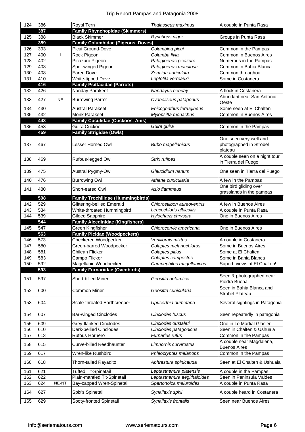| 124              | 386 |           | Royal Tern                                | Thalasseus maximus          | A couple in Punta Rasa                                       |
|------------------|-----|-----------|-------------------------------------------|-----------------------------|--------------------------------------------------------------|
|                  | 387 |           | <b>Family Rhynchopidae (Skimmers)</b>     |                             |                                                              |
| 125              | 388 |           | <b>Black Skimmer</b>                      | Rynchops niger              | Groups in Punta Rasa                                         |
|                  | 389 |           | <b>Family Columbidae (Pigeons, Doves)</b> |                             |                                                              |
| 126              | 393 |           | Picui Ground-Dove                         | Columbina picui             | Common in the Pampas                                         |
| 127              | 400 | -1        | Rock Pigeon                               | Columba livia               | Common in Buenos Aires                                       |
| 128              | 402 |           | Picazuro Pigeon                           | Patagioenas picazuro        | Numerous in the Pampas                                       |
| 129              | 403 |           | Spot-winged Pigeon                        | Patagioenas maculosa        | Common in Bahia Blanca                                       |
| 130              | 408 |           | <b>Eared Dove</b>                         | Zenaida auriculata          | Common throughout                                            |
| 131              | 410 |           | White-tipped Dove                         | Leptotila verreauxi         | Some in Costanera                                            |
|                  | 416 |           | <b>Family Psittacidae (Parrots)</b>       |                             |                                                              |
| 132              | 426 |           | Nanday Parakeet                           | Nandayus nenday             | A flock in Costanera                                         |
| 133              | 427 | <b>NE</b> | <b>Burrowing Parrot</b>                   | Cyanoliseus patagonus       | Abundant near San Antonio<br>Oeste                           |
| 134              | 430 |           | <b>Austral Parakeet</b>                   | Enicognathus ferrugineus    | Some seen at El Chalten                                      |
| 135              | 432 |           | <b>Monk Parakeet</b>                      | Myiopsitta monachus         | Common in Buenos Aires                                       |
|                  | 443 |           | <b>Family Cuculidae (Cuckoos, Anis)</b>   |                             |                                                              |
| 136              | 453 |           | Guira Cuckoo                              | Guira guira                 | Common in the Pampas                                         |
|                  | 459 |           | <b>Family Strigidae (Owls)</b>            |                             |                                                              |
| 137              | 467 |           | Lesser Horned Owl                         | <b>Bubo magellanicus</b>    | One seen very well and<br>photographed in Strobel<br>plateau |
| 138              | 469 |           | Rufous-legged Owl                         | Strix rufipes               | A couple seen on a night tour<br>in Tierra del Fuego!        |
| 139              | 475 |           | Austral Pygmy-Owl                         | Glaucidium nanum            | One seen in Tierra del Fuego                                 |
| 140              | 476 |           | <b>Burrowing Owl</b>                      | Athene cunicularia          | A few in the Pampas                                          |
| 141              | 480 |           | Short-eared Owl                           | Asio flammeus               | One bird gliding over<br>grasslands in the pampas            |
|                  | 508 |           | <b>Family Trochilidae (Hummingbirds)</b>  |                             |                                                              |
| 142              | 529 |           | <b>Glittering-bellied Emerald</b>         | Chlorostilbon aureoventris  | A few in Buenos Aires                                        |
| 143              | 534 |           | White-throated Hummingbird                | Leucochloris albicollis     | A couple in Punta Rasa                                       |
| 144              | 539 |           | <b>Gilded Sapphire</b>                    | Hylocharis chrysura         | One in Buenos Aires                                          |
|                  | 544 |           | <b>Family Alcedinidae (Kingfishers)</b>   |                             |                                                              |
| 145              | 547 |           | Green Kingfisher                          | Chloroceryle americana      | One in Buenos Aires                                          |
|                  | 563 |           | <b>Family Picidae (Woodpeckers)</b>       |                             |                                                              |
| 146              | 573 |           | Checkered Woodpecker                      | Veniliornis mixtus          | A couple in Costanera                                        |
| 147              | 580 |           | Green-barred Woodpecker                   | Colaptes melanochloros      | Some in Buenos Aires                                         |
| $\overline{148}$ | 581 |           | Chilean Flicker                           | Colaptes pitius             | Some at El Chalten                                           |
| 149              | 583 |           | Campo Flicker                             | Colaptes campestris         | Some in Bahia Blanca                                         |
| 150              | 592 |           | Magellanic Woodpecker                     | Campephilus magellanicus    | Superb views at El Chalten!                                  |
|                  | 593 |           | <b>Family Furnariidae (Ovenbirds)</b>     |                             |                                                              |
| 151              | 597 |           | Short-billed Miner                        | Geositta antarctica         | Seen & photographed near<br>Piedra Buena                     |
| 152              | 600 |           | Common Miner                              | Geositta cunicularia        | Seen in Bahia Blanca and<br><b>Strobel Plateau</b>           |
| 153              | 604 |           | Scale-throated Earthcreeper               | Upucerthia dumetaria        | Several sightings in Patagonia                               |
| 154              | 607 |           | <b>Bar-winged Cinclodes</b>               | Cinclodes fuscus            | Seen repeatedly in patagonia                                 |
| 155              | 609 |           | Grey-flanked Cinclodes                    | Cinclodes oustaleti         | One in Le Martial Glacier                                    |
| 156              | 610 |           | Dark-bellied Cinclodes                    | Cinclodes patagonicus       | Seen in Chalten & Ushuaia                                    |
| 157              | 613 |           | Rufous Hornero                            | Furnarius rufus             | Common in the Pampas                                         |
| 158              | 615 |           | <b>Curve-billed Reedhaunter</b>           | Limnornis curvirostris      | A couple near Magdalena,<br><b>Buenos Aires</b>              |
| 159              | 617 |           | Wren-like Rushbird                        | Phleocryptes melanops       | Common in the Pampas                                         |
| 160              | 618 |           | Thorn-tailed Rayadito                     | Aphrastura spinicauda       | Seen at El Chalten & Ushuaia                                 |
| 161              | 621 |           | <b>Tufted Tit-Spinetail</b>               | Leptasthenura platensis     | A couple in the Pampas                                       |
| 162              | 622 |           | Plain-mantled Tit-Spinetail               | Leptasthenura aegithaloides | Seen in Peninsula Valdes                                     |
| 163              | 624 | NE-NT     | Bay-capped Wren-Spinetail                 | Spartonoica maluroides      | A couple in Punta Rasa                                       |
| 164              | 627 |           | Spix's Spinetail                          | Synallaxis spixi            | A couple heard in Costanera                                  |
|                  |     |           | Sooty-fronted Spinetail                   | Synallaxis frontalis        | Seen near Buenos Aires                                       |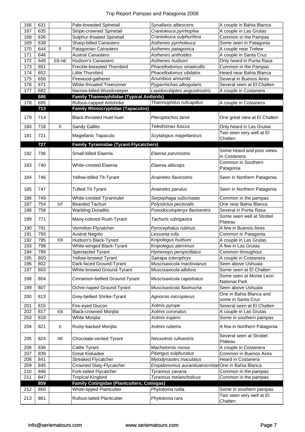| 166 | 631 |           | Pale-breasted Spinetail                           | Synallaxis albescens                                | A couple in Bahia Blanca                        |
|-----|-----|-----------|---------------------------------------------------|-----------------------------------------------------|-------------------------------------------------|
| 167 | 635 |           | Stripe-crowned Spinetail                          | Cranioleuca pyrrhophia                              | A couple in Las Grutas                          |
| 168 | 636 |           | Sulphur-thoated Spinetail                         | Cranioleuca sulphurifera                            | Common in the Pampas                            |
| 169 | 638 |           | Sharp-billed Canastero                            | Asthenes pyrrholeuca                                | Some seen in Patagonia                          |
| 170 | 644 | E         | Patagonian Canastero                              | Asthenes patagonica                                 | A couple near Trelew                            |
| 171 | 646 |           | <b>Austral Canastero</b>                          | Asthenes anthoides                                  | A couple in Santa Cruz                          |
| 172 | 648 | EB-NE     | Hudson's Canastero                                | Asthenes hudsoni                                    | Only heard in Punta Rasa                        |
| 173 | 651 |           | Freckle-breasted Thornbird                        | Phacellodomus striaticollis                         | Common in the Pampas                            |
| 174 | 652 |           | Little Thornbird                                  | Phacellodomus sibilatrix                            | Heard near Bahia Blanca                         |
| 175 | 656 |           | Firewood-gatherer                                 | Anumbius annumbi                                    | Several in Buenos Aires                         |
| 176 | 671 |           | White-throated Treerunner                         | Pygarrhichas albogularis                            | Several seen at El Chalten                      |
| 177 | 682 |           | Narrow-billed Woodcreeper                         | Lepidocolaptes angustirostris                       | A couple in Costanera                           |
|     | 686 |           | <b>Family Thamnophilidae (Typical Antbirds)</b>   |                                                     |                                                 |
| 178 | 695 |           | Rufous-capped Antshrike                           | Thamnophilus ruficapillus                           | A couple in Costanera                           |
|     | 713 |           | <b>Family Rhinocryptidae (Tapaculos)</b>          |                                                     |                                                 |
| 179 | 714 |           | <b>Black-throated Huet-huet</b>                   | Pteroptochos tarnii                                 | One great view at El Chalten                    |
| 180 | 718 | E         | Sandy Gallito                                     | Teledromas fuscus                                   | Only heard in Las Grutas                        |
| 181 | 721 |           |                                                   |                                                     | Two seen very well at El                        |
|     |     |           | Magellanic Tapaculo                               | Scytalopus magellanicus                             | Chalten                                         |
|     | 727 |           | <b>Family Tyrannidae (Tyrant-Flycatchers)</b>     |                                                     |                                                 |
| 182 | 736 |           | Small-billed Elaenia                              | Elaenia parvirostris                                | Some heard and poor views<br>in Costanera       |
| 183 | 740 |           | White-crested Elaenia                             | Elaenia albiceps                                    | Common in Southern<br>Patagonia                 |
| 184 | 746 |           | Yellow-billed Tit-Tyrant                          | Anairetes flavirostris                              | Seen in Northern Patagonia                      |
| 185 | 747 |           | <b>Tufted Tit-Tyrant</b>                          | Anairetes parulus                                   | Seen in Northern Patagonia                      |
| 186 | 749 |           | White-crested Tyrannulet                          | Serpophaga subcristata                              | Common in the pampas                            |
| 187 | 754 | <b>NT</b> | <b>Bearded Tachuri</b>                            | Polystictus pectoralis                              | One near Bahia Blanca                           |
| 188 | 758 |           | <b>Warbling Doradito</b>                          | Pseudocolopteryx flaviventris                       | Several in Punta Rasa                           |
| 189 | 771 |           | Many-colored Rush-Tyrant                          | Tachuris rubrigastra                                | Some seen well at Strobel<br>Plateau            |
| 190 | 791 |           | Vermilion Flycatcher                              | Pyrocephalus rubinus                                | A few in Buenos Aires                           |
| 191 | 793 |           | <b>Austral Negrito</b>                            | Lessonia rufa                                       | Common in Patagonia                             |
| 192 | 795 | EB        | Hudson's Black-Tyrant                             | Knipolegus hudsoni                                  | A couple in Las Grutas                          |
| 193 | 798 |           | White-winged Black-Tyrant                         | Knipolegus aterrimus                                | A few in Las Grutas                             |
| 194 | 799 |           | Spectacled Tyrant                                 | Hymenops perspicillatus                             | Common throughout                               |
| 195 | 800 |           | Yellow-browed Tyrant                              | Satrapa icterophrys                                 | A couple in Costanera                           |
| 196 | 802 |           | Dark-faced Ground-Tyrant                          | Muscisaxicola maclovianus                           | Seen above Ushuaia                              |
| 197 | 803 |           | White-browed Ground-Tyrant                        | Muscisaxicola albilora                              | Some seen at El Chalten                         |
| 198 | 804 |           | Cinnamon-bellied Ground-Tyrant                    | Muscisaxicola capistratus                           | Some seen at Monte Leon<br><b>National Park</b> |
| 199 | 807 |           | Ochre-naped Ground-Tyrant                         | Muscisaxicola flavinucha                            | Seen above Ushuaia                              |
| 200 | 813 |           | Grey-bellied Shrike-Tyrant                        | Agriornis micropterus                               | One in Bahia Blanca and<br>some in Santa Cruz   |
| 201 | 815 |           | Fire-eyed Diucon                                  | Xolmis pyrope                                       | Several seen at El Chalten                      |
| 202 | 817 | EB        | <b>Black-crowned Monjita</b>                      | Xolmis coronatus                                    | A couple in Las Grutas                          |
| 203 | 818 |           | White Monjita                                     | Xolmis irupero                                      | Some in southern pampas                         |
| 204 | 821 | Е         | Rusty-backed Monjita                              | Xolmis rubetra                                      | A few in Northern Patagonia                     |
| 205 | 824 | NE        | Chocolate-vented Tyrant                           | Neoxolmis rufiventris                               | Several seen at Strobel<br>Plateau              |
| 206 | 836 |           | Cattle Tyrant                                     | Machetornis rixosa                                  | A couple in Costanera                           |
| 207 | 839 |           | Great Kiskadee                                    | Pitangus sulphuratus                                | Common in Buenos Aires                          |
| 208 | 841 |           | Streaked Flycatcher                               | Myiodynastes maculatus                              | Heard in Costanera                              |
| 209 | 845 |           | Crowned Slaty-Flycatcher                          | Empidonomus aurantioatrocristat One in Bahia Blanca |                                                 |
| 210 | 846 |           | Fork-tailed Flycatcher                            | Tyrannus savana                                     | Common in the pampas                            |
| 211 | 847 |           | <b>Tropical Kingbird</b>                          | Tyrannus melancholicus                              | Common in the pampas                            |
|     | 859 |           | <b>Family Cotingidae (Plantcutters, Cotingas)</b> |                                                     |                                                 |
| 212 | 860 |           | White-tipped Plantcutter                          | Phytotoma rutila                                    | Some in southern pampas                         |
| 213 | 861 |           | <b>Rufous-tailed Plantcutter</b>                  | Phytotoma rara                                      | Two seen very well at El<br>Chalten             |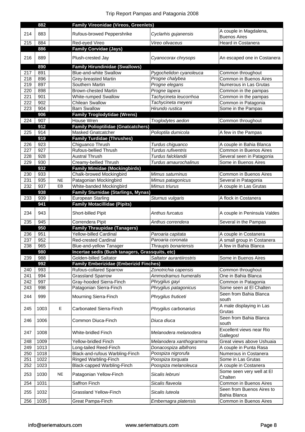|            | 882          |           | <b>Family Vireonidae (Vireos, Greenlets)</b>                              |                                         |                                                     |
|------------|--------------|-----------|---------------------------------------------------------------------------|-----------------------------------------|-----------------------------------------------------|
| 214        | 883          |           | Rufous-browed Peppershrike                                                | Cyclarhis gujanensis                    | A couple in Magdalena,                              |
|            |              |           |                                                                           |                                         | <b>Buenos Aires</b>                                 |
| 215        | 884          |           | Red-eyed Vireo                                                            | Vireo olivaceus                         | Heard in Costanera                                  |
|            | 886          |           | <b>Family Corvidae (Jays)</b>                                             |                                         |                                                     |
| 216        | 889          |           | Plush-crested Jay                                                         | Cyanocorax chrysops                     | An escaped one in Costanera                         |
|            | 890          |           | <b>Family Hirundinidae (Swallows)</b>                                     |                                         |                                                     |
| 217        | 891          |           | <b>Blue-and-white Swallow</b>                                             | Pygochelidon cyanoleuca                 | Common throughout                                   |
| 218        | 896          |           | <b>Grey-breasted Martin</b>                                               | Progne chalybea                         | Common in Buenos Aires                              |
| 219        | 897          |           | Southern Martin                                                           | Progne elegans                          | Numerous in Las Grutas                              |
| 220        | 898          |           | <b>Brown-chested Martin</b>                                               | Progne tapera                           | Common in the pampas                                |
| 221        | 901          |           | White-rumped Swallow                                                      | Tachycineta leucorrhoa                  | Common in the pampas                                |
| 222        | 902          |           | Chilean Swallow                                                           | Tachycineta meyeni                      | Common in Patagonia                                 |
| 223        | 904          |           | <b>Barn Swallow</b>                                                       | Hirundo rustica                         | Some in the Pampas                                  |
|            | 906          |           | <b>Family Troglodytidae (Wrens)</b>                                       |                                         |                                                     |
| 224        | 907          |           | House Wren                                                                | Troglodytes aedon                       | Common throughout                                   |
|            | 912          |           | <b>Family Polioptilidae (Gnatcatchers)</b>                                |                                         |                                                     |
| 225        | 914          |           | <b>Masked Gnatcatcher</b>                                                 | Polioptila dumicola                     | A few in the Pampas                                 |
|            | 919          |           | <b>Family Turdidae (Thrushes)</b>                                         |                                         |                                                     |
| 226        | 923          |           | Chiguanco Thrush                                                          | Turdus chiguanco                        | A couple in Bahia Blanca                            |
| 227        | 927          |           | Rufous-bellied Thrush                                                     | Turdus rufiventris                      | Common in Buenos Aires                              |
| 228        | 928          |           | <b>Austral Thrush</b>                                                     | Turdus falcklandii                      | Several seen in Patagonia                           |
| 229        | 930          |           | Creamy-bellied Thrush                                                     | Turdus amaurochalinus                   | Some in Buenos Aires                                |
|            | 932          |           | <b>Family Mimidae (Mockingbirds)</b>                                      |                                         |                                                     |
| 230        | 933          |           | Chalk-browed Mockingbird                                                  | Mimus saturninus                        | Common in Buenos Aires                              |
| 231        | 935          | <b>NE</b> | Patagonian Mockingbird                                                    | Mimus patagonicus                       | Several in Patagonia                                |
| 232        | 937          | EB        | White-banded Mockingbird                                                  | Mimus triurus                           | A couple in Las Grutas                              |
|            | 938          |           | Family Sturnidae (Starlings, Mynas)                                       |                                         |                                                     |
| 233        | 939          | J.        | European Starling                                                         | Sturnus vulgaris                        | A flock in Costanera                                |
|            | 941          |           | <b>Family Motacillidae (Pipits)</b>                                       |                                         |                                                     |
|            |              |           |                                                                           |                                         |                                                     |
| 234        | 943          |           | Short-billed Pipit                                                        | Anthus furcatus                         | A couple in Peninsula Valdes                        |
|            |              |           |                                                                           |                                         |                                                     |
| 235        |              |           |                                                                           |                                         |                                                     |
|            | 945<br>950   |           | Correndera Pipit                                                          | Anthus correndera                       | Several in the Pampas                               |
|            | 951          |           | <b>Family Thraupidae (Tanagers)</b><br>Yellow-billed Cardinal             |                                         |                                                     |
| 236<br>237 | 952          |           | <b>Red-crested Cardinal</b>                                               | Paroaria capitata<br>Paroaria coronata  | A couple in Costanera<br>A small group in Costanera |
| 238        | 965          |           | Blue-and-yellow Tanager                                                   | Thraupis bonariensis                    | A few in Bahia Blanca                               |
|            | 980          |           |                                                                           |                                         |                                                     |
| 239        | 988          |           | Incertae sedis (Bush tanagers, Grassquits, etc)<br>Golden-billed Saltator | Saltator aurantiirostris                | Some in Buenos Aires                                |
|            | 992          |           | <b>Family Emberizidae (Emberizid Finches)</b>                             |                                         |                                                     |
| 240        | 993          |           | Rufous-collared Sparrow                                                   | Zonotrichia capensis                    | Common throughout                                   |
| 241        | 994          |           | <b>Grassland Sparrow</b>                                                  | Ammodramus humeralis                    | One in Bahia Blanca                                 |
| 242        | 997          |           | Gray-hooded Sierra-Finch                                                  | Phrygilus gayi                          | Common in Patagonia                                 |
| 243        | 998          |           | Patagonian Sierra-Finch                                                   | Phrygilus patagonicus                   | Some seen at El Chalten                             |
|            |              |           |                                                                           |                                         | Seen from Bahia Blanca                              |
| 244        | 999          |           | Mourning Sierra-Finch                                                     | Phrygilus fruticeti                     | south                                               |
|            |              |           |                                                                           |                                         | A male displaying in Las                            |
| 245        | 1003         | Е         | <b>Carbonated Sierra-Finch</b>                                            | Phrygilus carbonarius                   | Grutas                                              |
|            |              |           |                                                                           |                                         | Seen from Bahia Blanca                              |
| 246        | 1006         |           | Common Diuca-Finch                                                        | Diuca diuca                             | south                                               |
|            |              |           |                                                                           |                                         | Excellent views near Rio                            |
| 247        | 1008         |           | White-bridled Finch                                                       | Melanodera melanodera                   | Gallegos!                                           |
| 248        | 1009         |           | Yellow-bridled Finch                                                      | Melanodera xanthogramma                 | Great views above Ushuaia                           |
| 249        | 1013         |           | Long-tailed Reed-Finch                                                    | Donacospiza albifrons                   | A couple in Punta Rasa                              |
| 250        | 1018         |           | Black-and-rufous Warbling-Finch                                           | Poospiza nigrorufa                      | Numerous in Costanera                               |
| 251        | 1022         |           | Ringed Warbling-Finch                                                     | Poospiza torquata                       | Some in Las Grutas                                  |
| 252        | 1023         |           | Black-capped Warbling-Finch                                               | Poospiza melanoleuca                    | A couple in Costanera                               |
|            |              |           |                                                                           |                                         | Some seen very well at El                           |
| 253        | 1030         | <b>NE</b> | Patagonian Yellow-Finch                                                   | Sicalis lebruni                         | Chalten                                             |
| 254        | 1031         |           | Saffron Finch                                                             | Sicalis flaveola                        | Common in Buenos Aires                              |
|            |              |           |                                                                           |                                         | Seen from Buenos Aires to                           |
| 255<br>256 | 1032<br>1035 |           | <b>Grassland Yellow-Finch</b><br>Great Pampa-Finch                        | Sicalis luteola<br>Embernagra platensis | Bahia Blanca<br>Common in Buenos Aires              |